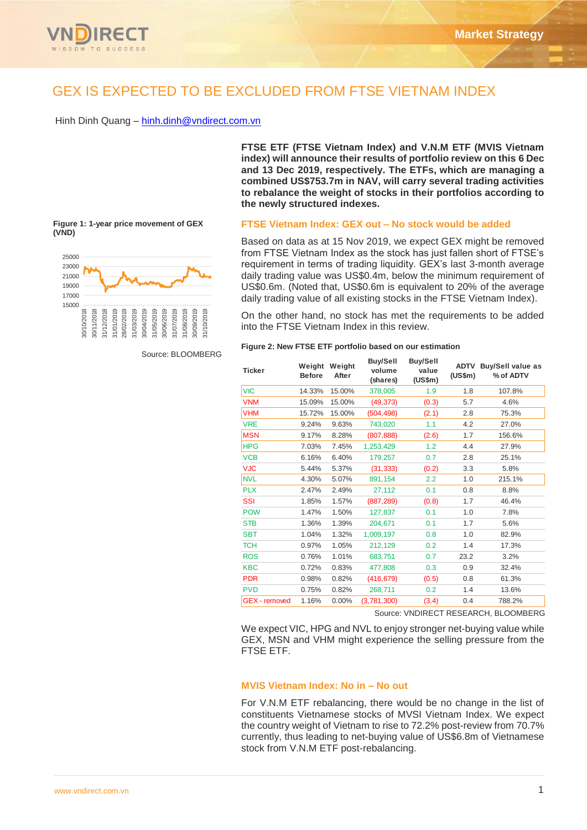

# GEX IS EXPECTED TO BE EXCLUDED FROM FTSE VIETNAM INDEX

Hinh Dinh Quang – [hinh.dinh@vndirect.com.vn](mailto:hinh.dinh@vndirect.com.vn)

15000 17000 19000 21000 23000 25000 30/10/2018 30/11/2018 31/12/2018 31/01/2019 28/02/2019 31/03/2019 30/04/2019 31/05/2019 30/06/2019 31/07/2019 31/08/2019 30/09/2019 31/10/2019

## **Figure 1: 1-year price movement of GEX (VND)**

#### Source: BLOOMBERG

**FTSE ETF (FTSE Vietnam Index) and V.N.M ETF (MVIS Vietnam index) will announce their results of portfolio review on this 6 Dec and 13 Dec 2019, respectively. The ETFs, which are managing a combined US\$753.7m in NAV, will carry several trading activities to rebalance the weight of stocks in their portfolios according to the newly structured indexes.**

## **FTSE Vietnam Index: GEX out – No stock would be added**

Based on data as at 15 Nov 2019, we expect GEX might be removed from FTSE Vietnam Index as the stock has just fallen short of FTSE's requirement in terms of trading liquidity. GEX's last 3-month average daily trading value was US\$0.4m, below the minimum requirement of US\$0.6m. (Noted that, US\$0.6m is equivalent to 20% of the average daily trading value of all existing stocks in the FTSE Vietnam Index).

On the other hand, no stock has met the requirements to be added into the FTSE Vietnam Index in this review.

| <b>Ticker</b>        | Weight<br><b>Before</b> | Weight<br>After | <b>Buy/Sell</b><br>volume<br>(shares) | <b>Buy/Sell</b><br>value<br>(US\$m) | ADTV<br>(US\$m) | <b>Buy/Sell value as</b><br>% of ADTV |  |
|----------------------|-------------------------|-----------------|---------------------------------------|-------------------------------------|-----------------|---------------------------------------|--|
| <b>VIC</b>           | 14.33%                  | 15.00%          | 378,005                               | 1.9                                 | 1.8             | 107.8%                                |  |
| <b>VNM</b>           | 15.09%                  | 15.00%          | (49, 373)                             | (0.3)                               | 5.7             | 4.6%                                  |  |
| <b>VHM</b>           | 15.72%                  | 15.00%          | (504, 498)                            | (2.1)                               | 2.8             | 75.3%                                 |  |
| <b>VRE</b>           | 9.24%                   | 9.63%           | 743,020                               | 1.1                                 | 4.2             | 27.0%                                 |  |
| <b>MSN</b>           | 9.17%                   | 8.28%           | (807, 888)                            | (2.6)                               | 1.7             | 156.6%                                |  |
| <b>HPG</b>           | 7.03%                   | 7.45%           | 1,253,429                             | 1.2                                 | 4.4             | 27.9%                                 |  |
| <b>VCB</b>           | 6.16%                   | 6.40%           | 179,257                               | 0.7                                 | 2.8             | 25.1%                                 |  |
| <b>VJC</b>           | 5.44%                   | 5.37%           | (31, 333)                             | (0.2)                               | 3.3             | 5.8%                                  |  |
| <b>NVL</b>           | 4.30%                   | 5.07%           | 891,154                               | 2.2                                 | 1.0             | 215.1%                                |  |
| <b>PLX</b>           | 2.47%                   | 2.49%           | 27,112                                | 0.1                                 | 0.8             | 8.8%                                  |  |
| SSI                  | 1.85%                   | 1.57%           | (887, 289)                            | (0.8)                               | 1.7             | 46.4%                                 |  |
| <b>POW</b>           | 1.47%                   | 1.50%           | 127,837                               | 0.1                                 | 1.0             | 7.8%                                  |  |
| <b>STB</b>           | 1.36%                   | 1.39%           | 204,671                               | 0.1                                 | 1.7             | 5.6%                                  |  |
| <b>SBT</b>           | 1.04%                   | 1.32%           | 1,009,197                             | 0.8                                 | 1.0             | 82.9%                                 |  |
| <b>TCH</b>           | 0.97%                   | 1.05%           | 212.129                               | 0.2                                 | 1.4             | 17.3%                                 |  |
| <b>ROS</b>           | 0.76%                   | 1.01%           | 683,751                               | 0.7                                 | 23.2            | 3.2%                                  |  |
| <b>KBC</b>           | 0.72%                   | 0.83%           | 477,808                               | 0.3                                 | 0.9             | 32.4%                                 |  |
| <b>PDR</b>           | 0.98%                   | 0.82%           | (416, 679)                            | (0.5)                               | 0.8             | 61.3%                                 |  |
| <b>PVD</b>           | 0.75%                   | 0.82%           | 268,711                               | 0.2                                 | 1.4             | 13.6%                                 |  |
| <b>GEX</b> - removed | 1.16%                   | 0.00%           | (3.781.300)                           | (3.4)                               | 0.4             | 788.2%                                |  |

Source: VNDIRECT RESEARCH, BLOOMBERG

We expect VIC, HPG and NVL to enjoy stronger net-buying value while GEX, MSN and VHM might experience the selling pressure from the FTSE ETF.

## **MVIS Vietnam Index: No in – No out**

For V.N.M ETF rebalancing, there would be no change in the list of constituents Vietnamese stocks of MVSI Vietnam Index. We expect the country weight of Vietnam to rise to 72.2% post-review from 70.7% currently, thus leading to net-buying value of US\$6.8m of Vietnamese stock from V.N.M ETF post-rebalancing.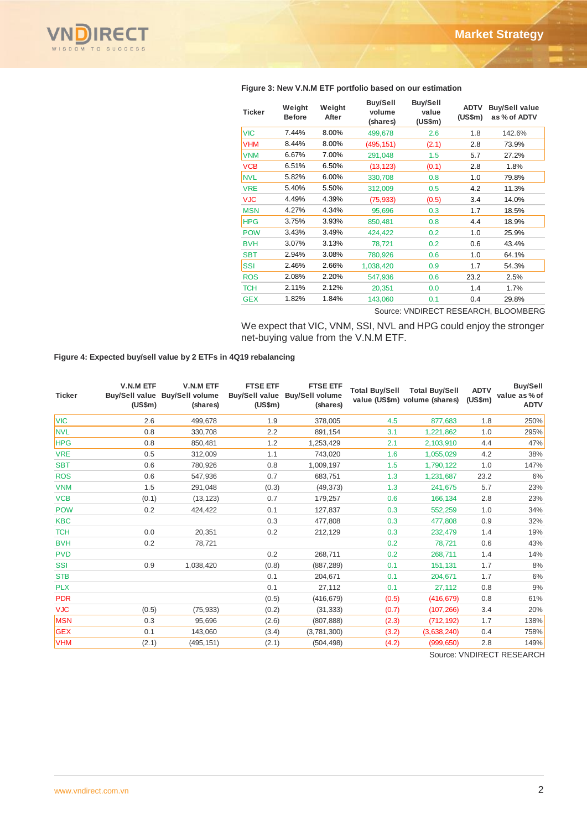

#### **Ticker Weight Before Weight After Buy/Sell volume (shares) Buy/Sell value (US\$m) ADTV Buy/Sell value (US\$m) as % of ADTV** VIC 7.44% 8.00% 499,678 2.6 1.8 142.6% VHM 8.44% 8.00% (495,151) (2.1) 2.8 73.9% VNM 6.67% 7.00% 291,048 1.5 5.7 27.2% VCB 6.51% 6.50% (13,123) (0.1) 2.8 1.8% NVL 5.82% 6.00% 330,708 0.8 1.0 79.8% VRE 5.40% 5.50% 312,009 0.5 4.2 11.3% VJC 4.49% 4.39% (75,933) (0.5) 3.4 14.0% MSN 4.27% 4.34% 95,696 0.3 1.7 18.5% HPG 3.75% 3.93% 850,481 0.8 4.4 18.9% POW 3.43% 3.49% 424,422 0.2 1.0 25.9% BVH 3.07% 3.13% 78,721 0.2 0.6 43.4% SBT 2.94% 3.08% 780,926 0.6 1.0 64.1% SSI 2.46% 2.66% 1,038,420 0.9 1.7 54.3% ROS 2.08% 2.20% 547,936 0.6 23.2 2.5% TCH 2.11% 2.12% 20,351 0.0 1.4 1.7% GEX 1.82% 1.84% 143,060 0.1 0.4 29.8%

#### **Figure 3: New V.N.M ETF portfolio based on our estimation**

Source: VNDIRECT RESEARCH, BLOOMBERG

We expect that VIC, VNM, SSI, NVL and HPG could enjoy the stronger net-buying value from the V.N.M ETF.

**Figure 4: Expected buy/sell value by 2 ETFs in 4Q19 rebalancing** 

| <b>Ticker</b> | <b>V.N.M ETF</b><br>$(US\$ fm $)$ | V.N.M ETF<br>Buy/Sell value Buy/Sell volume<br>(shares) | <b>FTSE ETF</b><br>(US\$m) | <b>FTSE ETF</b><br>Buy/Sell value Buy/Sell volume<br>(shares) |       | Total Buy/Sell Total Buy/Sell<br>value (US\$m) volume (shares) | <b>ADTV</b><br>(US\$m) | Buy/Sell<br>value as % of<br><b>ADTV</b> |
|---------------|-----------------------------------|---------------------------------------------------------|----------------------------|---------------------------------------------------------------|-------|----------------------------------------------------------------|------------------------|------------------------------------------|
| <b>VIC</b>    | 2.6                               | 499,678                                                 | 1.9                        | 378,005                                                       | 4.5   | 877,683                                                        | 1.8                    | 250%                                     |
| <b>NVL</b>    | 0.8                               | 330,708                                                 | 2.2                        | 891,154                                                       | 3.1   | 1,221,862                                                      | 1.0                    | 295%                                     |
| <b>HPG</b>    | 0.8                               | 850,481                                                 | 1.2                        | 1,253,429                                                     | 2.1   | 2,103,910                                                      | 4.4                    | 47%                                      |
| <b>VRE</b>    | 0.5                               | 312,009                                                 | 1.1                        | 743,020                                                       | 1.6   | 1,055,029                                                      | 4.2                    | 38%                                      |
| <b>SBT</b>    | 0.6                               | 780,926                                                 | 0.8                        | 1,009,197                                                     | 1.5   | 1,790,122                                                      | 1.0                    | 147%                                     |
| <b>ROS</b>    | 0.6                               | 547,936                                                 | 0.7                        | 683,751                                                       | 1.3   | 1,231,687                                                      | 23.2                   | 6%                                       |
| <b>VNM</b>    | 1.5                               | 291,048                                                 | (0.3)                      | (49, 373)                                                     | 1.3   | 241,675                                                        | 5.7                    | 23%                                      |
| <b>VCB</b>    | (0.1)                             | (13, 123)                                               | 0.7                        | 179,257                                                       | 0.6   | 166,134                                                        | 2.8                    | 23%                                      |
| <b>POW</b>    | 0.2                               | 424,422                                                 | 0.1                        | 127,837                                                       | 0.3   | 552,259                                                        | 1.0                    | 34%                                      |
| <b>KBC</b>    |                                   |                                                         | 0.3                        | 477,808                                                       | 0.3   | 477,808                                                        | 0.9                    | 32%                                      |
| <b>TCH</b>    | 0.0                               | 20,351                                                  | 0.2                        | 212,129                                                       | 0.3   | 232,479                                                        | 1.4                    | 19%                                      |
| <b>BVH</b>    | 0.2                               | 78,721                                                  |                            |                                                               | 0.2   | 78,721                                                         | 0.6                    | 43%                                      |
| <b>PVD</b>    |                                   |                                                         | 0.2                        | 268,711                                                       | 0.2   | 268,711                                                        | 1.4                    | 14%                                      |
| <b>SSI</b>    | 0.9                               | 1,038,420                                               | (0.8)                      | (887, 289)                                                    | 0.1   | 151,131                                                        | 1.7                    | 8%                                       |
| <b>STB</b>    |                                   |                                                         | 0.1                        | 204,671                                                       | 0.1   | 204.671                                                        | 1.7                    | 6%                                       |
| <b>PLX</b>    |                                   |                                                         | 0.1                        | 27,112                                                        | 0.1   | 27,112                                                         | 0.8                    | 9%                                       |
| <b>PDR</b>    |                                   |                                                         | (0.5)                      | (416, 679)                                                    | (0.5) | (416, 679)                                                     | 0.8                    | 61%                                      |
| <b>VJC</b>    | (0.5)                             | (75, 933)                                               | (0.2)                      | (31, 333)                                                     | (0.7) | (107, 266)                                                     | 3.4                    | 20%                                      |
| <b>MSN</b>    | 0.3                               | 95,696                                                  | (2.6)                      | (807, 888)                                                    | (2.3) | (712, 192)                                                     | 1.7                    | 138%                                     |
| <b>GEX</b>    | 0.1                               | 143,060                                                 | (3.4)                      | (3,781,300)                                                   | (3.2) | (3,638,240)                                                    | 0.4                    | 758%                                     |
| <b>VHM</b>    | (2.1)                             | (495, 151)                                              | (2.1)                      | (504, 498)                                                    | (4.2) | (999, 650)                                                     | 2.8                    | 149%                                     |

Source: VNDIRECT RESEARCH